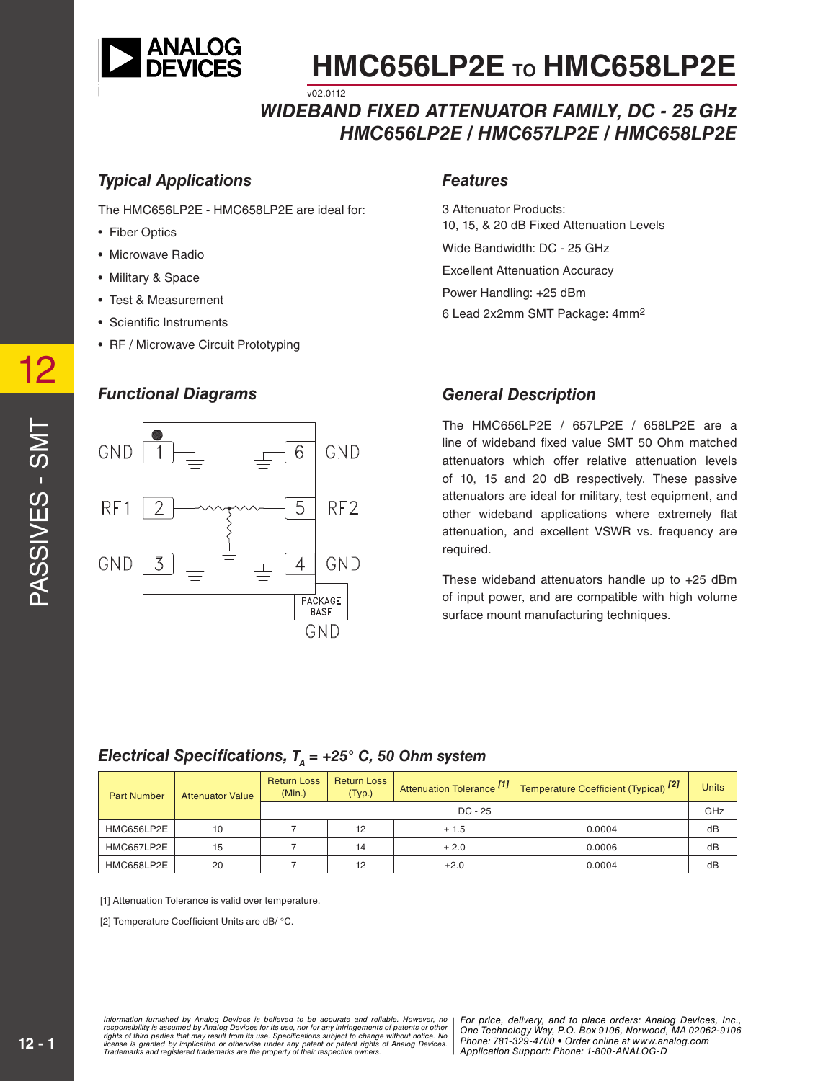

#### *WIDEBAND FIXED ATTENUATOR FAMILY, DC - 25 GHz HMC656LP2E / HMC657LP2E / HMC658LP2E* v02.0112

#### *Typical Applications*

The HMC656LP2E - HMC658LP2E are ideal for:

- Fiber Optics
- Microwave Radio
- Military & Space
- Test & Measurement
- Scientific Instruments
- RF / Microwave Circuit Prototyping

#### *Functional Diagrams*



#### *Features*

3 Attenuator Products: 10, 15, & 20 dB Fixed Attenuation Levels Wide Bandwidth: DC - 25 GHz Excellent Attenuation Accuracy Power Handling: +25 dBm 6 Lead 2x2mm SMT Package: 4mm2

#### *General Description*

The HMC656LP2E / 657LP2E / 658LP2E are a line of wideband fixed value SMT 50 Ohm matched attenuators which offer relative attenuation levels of 10, 15 and 20 dB respectively. These passive attenuators are ideal for military, test equipment, and other wideband applications where extremely flat attenuation, and excellent VSWR vs. frequency are required.

These wideband attenuators handle up to +25 dBm of input power, and are compatible with high volume surface mount manufacturing techniques.

#### *Electrical Specifications,*  $T<sub>A</sub> = +25$ ° C, 50 Ohm system

| <b>Part Number</b> | <b>Attenuator Value</b> | <b>Return Loss</b><br>(Min.) | <b>Return Loss</b><br>(Typ.) | Attenuation Tolerance <sup>[1]</sup> | Temperature Coefficient (Typical) <sup>[2]</sup> | <b>Units</b> |
|--------------------|-------------------------|------------------------------|------------------------------|--------------------------------------|--------------------------------------------------|--------------|
|                    |                         | $DC - 25$                    |                              |                                      |                                                  | GHz          |
| HMC656LP2E         | 10                      |                              | 12                           | ± 1.5                                | 0.0004                                           | dB           |
| HMC657LP2E         | 15                      |                              | 14                           | ± 2.0                                | 0.0006                                           | dB           |
| HMC658LP2E         | 20                      |                              | 12                           | ±2.0                                 | 0.0004                                           | dB           |

[1] Attenuation Tolerance is valid over temperature.

[2] Temperature Coefficient Units are dB/ °C.

rmation furnished by Analog Devices is believed to be accurate and reliable. However, no **Profile and the profile**<br>ponsibility is assumed by Analog Devices for its use, not for any infringements of patents or other **Profil** ay result from its use. Specifications subject to change without notice. No<br>ration or otherwise under any patent or patent rights of Analog Devices Phone: 781-329-4700 • Order online at w *re the property of their respective owners.* Application Support: Phone: 1-8 *Information furnished by Analog Devices is believed to be accurate and reliable. However, no*  responsibility is assumed by Analog Devices for its use, nor for any infringements of patents or other<br>rights of third parties that may result from its use. Specifications subject to change without notice. No<br>license is gr

PASSIVES - SMT

PASSIVES - SMT

12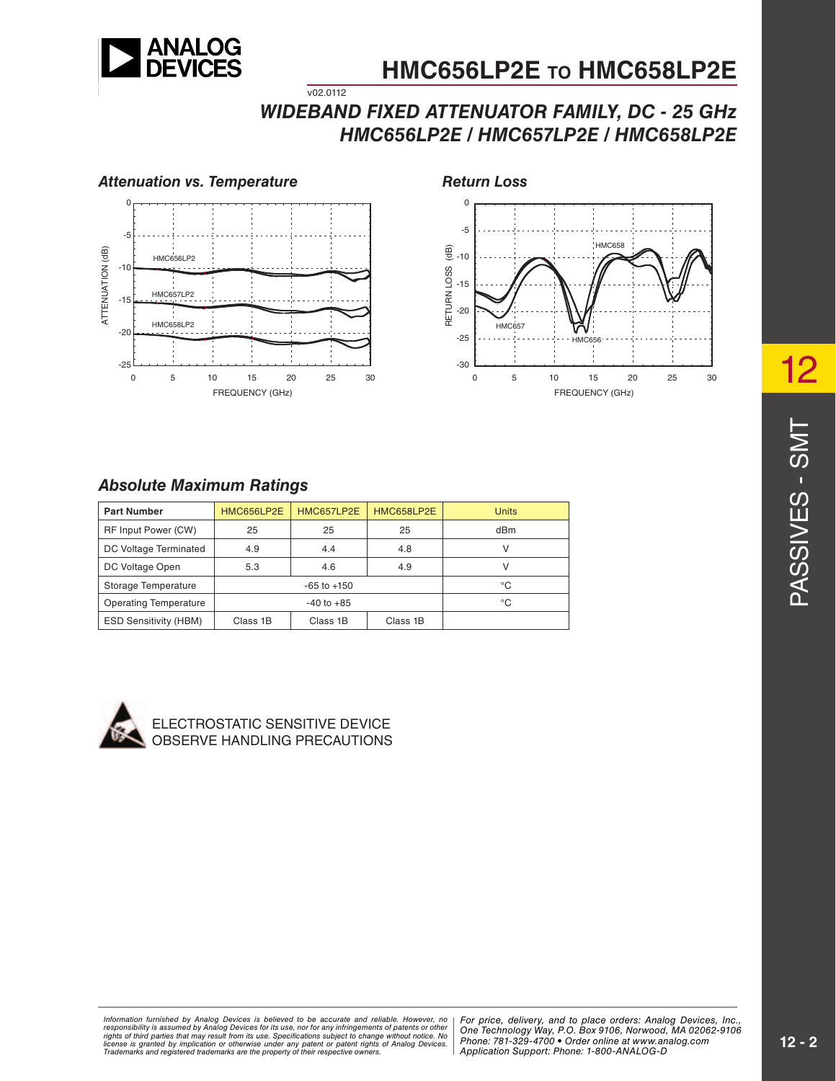

### *WIDEBAND FIXED ATTENUATOR FAMILY, DC - 25 GHz HMC656LP2E / HMC657LP2E / HMC658LP2E*





#### *Absolute Maximum Ratings*

| <b>Part Number</b>           | HMC656LP2E      | HMC657LP2E | HMC658LP2E | <b>Units</b> |
|------------------------------|-----------------|------------|------------|--------------|
| RF Input Power (CW)          | 25              | 25         | 25         | dBm          |
| DC Voltage Terminated        | 4.9             | 4.4        | 4.8        |              |
| DC Voltage Open              | 5.3             | 4.6        | 4.9        |              |
| Storage Temperature          | $-65$ to $+150$ |            |            | °C           |
| <b>Operating Temperature</b> | $-40$ to $+85$  |            |            | °C           |
| <b>ESD Sensitivity (HBM)</b> | Class 1B        | Class 1B   | Class 1B   |              |

 $v02.0112$ 



**ECTROSTATIC SENSITIVE DEVICE** OBSERVE HANDLING PRECAUTIONS

ormation furnished by Analog Devices is believed to be accurate and reliable. However, no | For price, delivery, and to place orders: Analog Devices, Inc.,<br>ponsibility is assumed by Analog Devices for its use, not for any *Phone: Alt from its use. Specifications subject to change without notice. No***<br>cation or otherwise under any patent or patent rights of Analon Devices Phone: 781-329-4700 • Order online at w** are the property of their respective owners. **Application Support: Phone: 1-**8 *Information furnished by Analog Devices is believed to be accurate and reliable. However, no*  responsibility is assumed by Analog Devices for its use, nor for any infringements of patents or other<br>rights of third parties that may result from its use. Specifications subject to change without notice. No<br>license is gr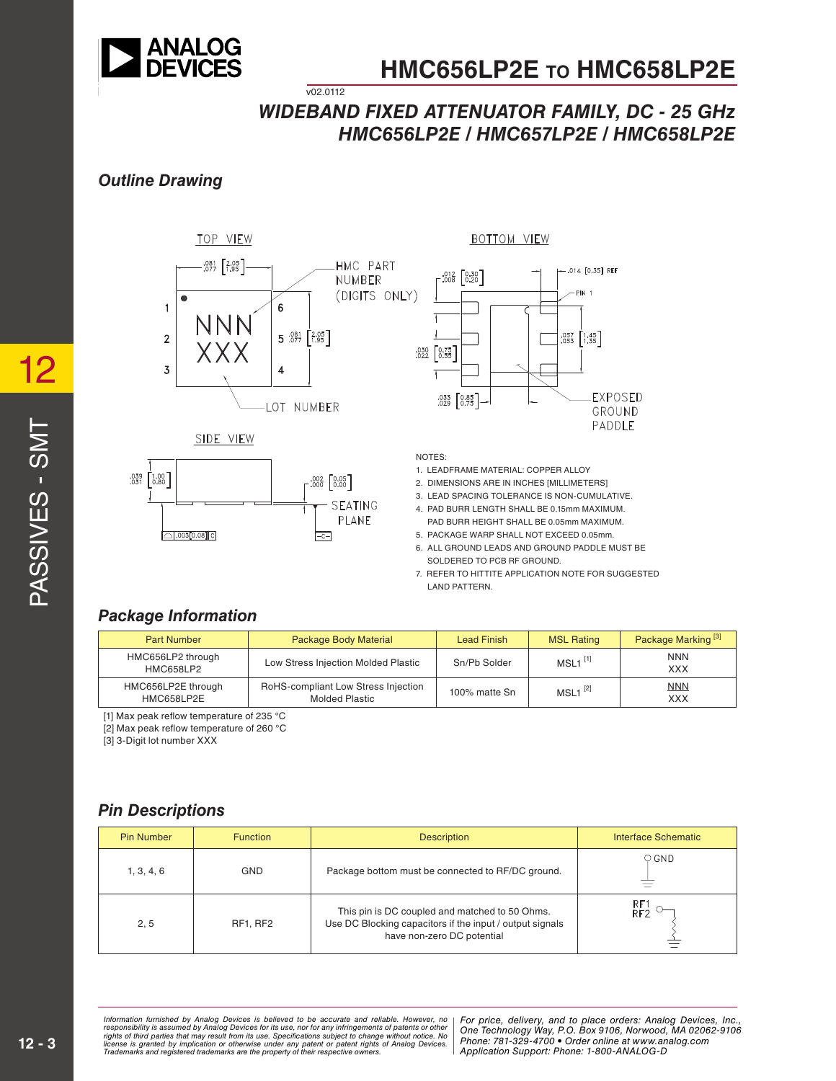

### *WIDEBAND FIXED ATTENUATOR FAMILY, DC - 25 GHz HMC656LP2E / HMC657LP2E / HMC658LP2E*

#### *Outline Drawing*



v02.0112



SIDE VIEW



NOTES:

1. LEADFRAME MATERIAL: COPPER ALLOY

2. DIMENSIONS ARE IN INCHES [MILLIMETERS]

- 3. LEAD SPACING TOLERANCE IS NON-CUMULATIVE.
- 4. PAD BURR LENGTH SHALL BE 0.15mm MAXIMUM.
- PAD BURR HEIGHT SHALL BE 0.05mm MAXIMUM. 5. PACKAGE WARP SHALL NOT EXCEED 0.05mm.

6. ALL GROUND LEADS AND GROUND PADDLE MUST BE SOLDERED TO PCB RF GROUND.

7. REFER TO HITTITE APPLICATION NOTE FOR SUGGESTED LAND PATTERN.

### *Package Information*

| <b>Part Number</b>               | Package Body Material                                        | <b>Lead Finish</b> | <b>MSL Rating</b>     | Package Marking <sup>[3]</sup> |
|----------------------------------|--------------------------------------------------------------|--------------------|-----------------------|--------------------------------|
| HMC656LP2 through<br>HMC658LP2   | Low Stress Injection Molded Plastic                          | Sn/Pb Solder       | $MSL1$ <sup>[1]</sup> | <b>NNN</b><br><b>XXX</b>       |
| HMC656LP2E through<br>HMC658LP2E | RoHS-compliant Low Stress Injection<br><b>Molded Plastic</b> | 100% matte Sn      | $MSL1$ <sup>[2]</sup> | <b>NNN</b><br>XXX              |

[1] Max peak reflow temperature of 235 °C

[2] Max peak reflow temperature of 260 °C

[3] 3-Digit lot number XXX

#### *Pin Descriptions*

| <b>Pin Number</b> | <b>Function</b> | <b>Description</b>                                                                                                                       | Interface Schematic |
|-------------------|-----------------|------------------------------------------------------------------------------------------------------------------------------------------|---------------------|
| 1, 3, 4, 6        | <b>GND</b>      | Package bottom must be connected to RF/DC ground.                                                                                        | $\circ$ GND         |
| 2, 5              | RF1, RF2        | This pin is DC coupled and matched to 50 Ohms.<br>Use DC Blocking capacitors if the input / output signals<br>have non-zero DC potential | RF1<br>RF2          |

rmation furnished by Analog Devices is believed to be accurate and reliable. However, no **Profile and the profile**<br>ponsibility is assumed by Analog Devices for its use, not for any infringements of patents or other **Profil** ay result from its use. Specifications subject to change without notice. No<br>ration or otherwise under any patent or patent rights of Analog Devices Phone: 781-329-4700 • Order online at w *re the property of their respective owners.* Application Support: Phone: 1-8 *Information furnished by Analog Devices is believed to be accurate and reliable. However, no*  responsibility is assumed by Analog Devices for its use, nor for any infringements of patents or other<br>rights of third parties that may result from its use. Specifications subject to change without notice. No<br>license is gr

*For price, delivery, and to place orders: Analog Devices, Inc., One Technology Way, P.O. Box 9106, Norwood, MA 02062-9106 Phone: 781-329-4700 • Order online at www.analog.com Application Support: Phone: 1-800-ANALOG-D*

12